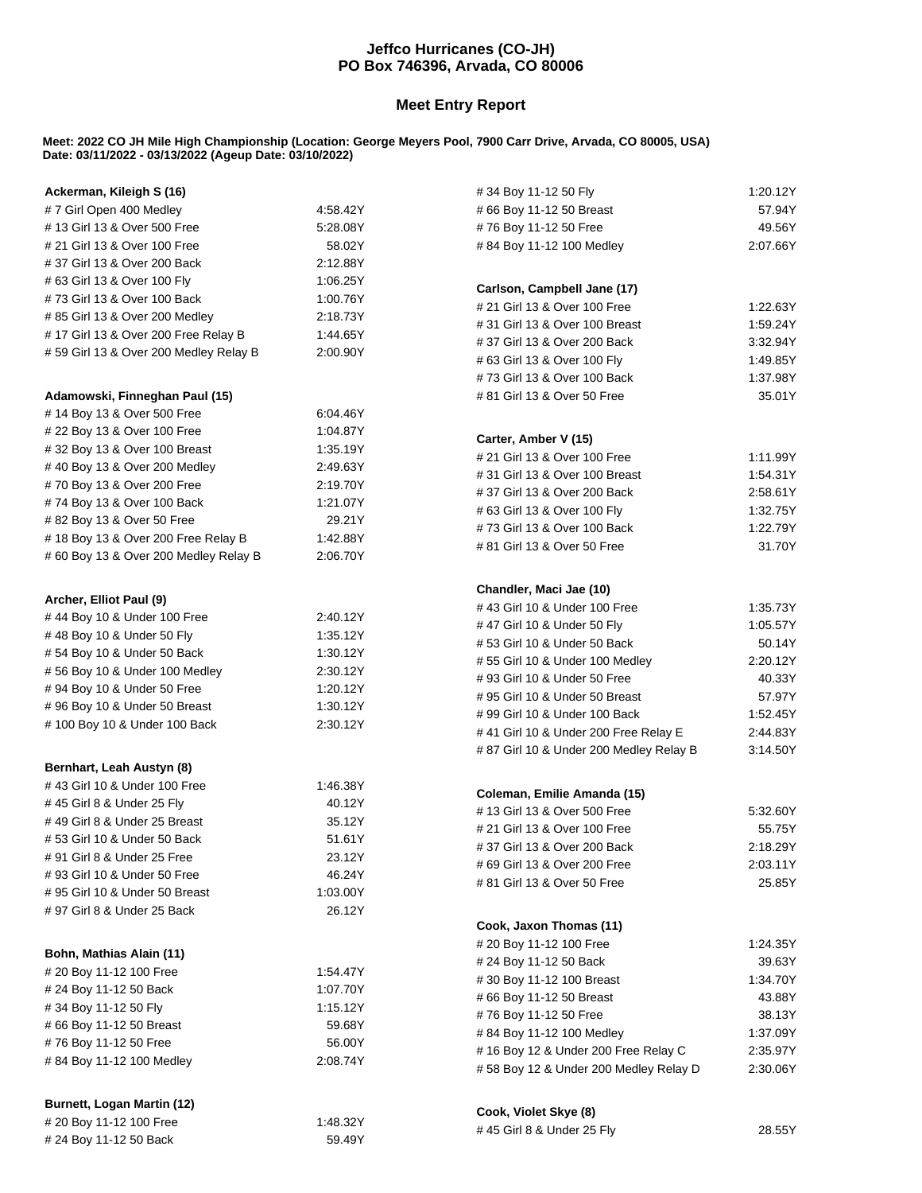## **Jeffco Hurricanes (CO-JH) PO Box 746396, Arvada, CO 80006**

## **Meet Entry Report**

## **Meet: 2022 CO JH Mile High Championship (Location: George Meyers Pool, 7900 Carr Drive, Arvada, CO 80005, USA) Date: 03/11/2022 - 03/13/2022 (Ageup Date: 03/10/2022)**

| Ackerman, Kileigh S (16)                                                   |                      | #34 Boy 11-12 50 Fly                                        | 1:20.12Y             |
|----------------------------------------------------------------------------|----------------------|-------------------------------------------------------------|----------------------|
| #7 Girl Open 400 Medley                                                    | 4:58.42Y             | # 66 Boy 11-12 50 Breast                                    | 57.94Y               |
| #13 Girl 13 & Over 500 Free                                                | 5:28.08Y             | #76 Boy 11-12 50 Free                                       | 49.56Y               |
| # 21 Girl 13 & Over 100 Free                                               | 58.02Y               | #84 Boy 11-12 100 Medley                                    | 2:07.66Y             |
| #37 Girl 13 & Over 200 Back                                                | 2:12.88Y             |                                                             |                      |
| # 63 Girl 13 & Over 100 Fly                                                | 1:06.25Y             |                                                             |                      |
| #73 Girl 13 & Over 100 Back                                                | 1:00.76Y             | Carlson, Campbell Jane (17)<br># 21 Girl 13 & Over 100 Free |                      |
| #85 Girl 13 & Over 200 Medley                                              | 2:18.73Y             | # 31 Girl 13 & Over 100 Breast                              | 1:22.63Y<br>1:59.24Y |
| #17 Girl 13 & Over 200 Free Relay B                                        | 1:44.65Y             |                                                             |                      |
| #59 Girl 13 & Over 200 Medley Relay B                                      | 2:00.90Y             | #37 Girl 13 & Over 200 Back<br># 63 Girl 13 & Over 100 Fly  | 3:32.94Y<br>1:49.85Y |
|                                                                            |                      |                                                             |                      |
| Adamowski, Finneghan Paul (15)                                             |                      | #73 Girl 13 & Over 100 Back<br># 81 Girl 13 & Over 50 Free  | 1:37.98Y<br>35.01Y   |
| #14 Boy 13 & Over 500 Free                                                 | 6.04.46Y             |                                                             |                      |
| # 22 Boy 13 & Over 100 Free                                                | 1:04.87Y             |                                                             |                      |
| #32 Boy 13 & Over 100 Breast                                               | 1:35.19Y             | Carter, Amber V (15)                                        |                      |
| #40 Boy 13 & Over 200 Medley                                               | 2:49.63Y             | # 21 Girl 13 & Over 100 Free                                | 1:11.99Y             |
|                                                                            |                      | #31 Girl 13 & Over 100 Breast                               | 1:54.31Y             |
| #70 Boy 13 & Over 200 Free<br>#74 Boy 13 & Over 100 Back                   | 2:19.70Y<br>1:21.07Y | #37 Girl 13 & Over 200 Back                                 | 2:58.61Y             |
|                                                                            | 29.21Y               | # 63 Girl 13 & Over 100 Fly                                 | 1:32.75Y             |
| #82 Boy 13 & Over 50 Free                                                  |                      | #73 Girl 13 & Over 100 Back                                 | 1:22.79Y             |
| #18 Boy 13 & Over 200 Free Relay B<br>#60 Boy 13 & Over 200 Medley Relay B | 1:42.88Y<br>2:06.70Y | # 81 Girl 13 & Over 50 Free                                 | 31.70Y               |
|                                                                            |                      |                                                             |                      |
|                                                                            |                      | Chandler, Maci Jae (10)                                     |                      |
| Archer, Elliot Paul (9)                                                    |                      | #43 Girl 10 & Under 100 Free                                | 1:35.73Y             |
| #44 Boy 10 & Under 100 Free                                                | 2:40.12Y             | #47 Girl 10 & Under 50 Fly                                  | 1:05.57Y             |
| #48 Boy 10 & Under 50 Fly                                                  | 1:35.12Y             | #53 Girl 10 & Under 50 Back                                 | 50.14Y               |
| #54 Boy 10 & Under 50 Back                                                 | 1:30.12Y             | #55 Girl 10 & Under 100 Medley                              | 2:20.12Y             |
| #56 Boy 10 & Under 100 Medley                                              | 2:30.12Y             | #93 Girl 10 & Under 50 Free                                 | 40.33Y               |
| #94 Boy 10 & Under 50 Free                                                 | 1:20.12Y             | #95 Girl 10 & Under 50 Breast                               | 57.97Y               |
| #96 Boy 10 & Under 50 Breast                                               | 1:30.12Y             | # 99 Girl 10 & Under 100 Back                               | 1:52.45Y             |
| #100 Boy 10 & Under 100 Back                                               | 2:30.12Y             | #41 Girl 10 & Under 200 Free Relay E                        | 2:44.83Y             |
|                                                                            |                      | # 87 Girl 10 & Under 200 Medley Relay B                     | 3:14.50Y             |
| Bernhart, Leah Austyn (8)                                                  |                      |                                                             |                      |
| #43 Girl 10 & Under 100 Free                                               | 1:46.38Y             | Coleman, Emilie Amanda (15)                                 |                      |
| #45 Girl 8 & Under 25 Fly                                                  | 40.12Y               | #13 Girl 13 & Over 500 Free                                 | 5:32.60Y             |
| #49 Girl 8 & Under 25 Breast                                               | 35.12Y               | # 21 Girl 13 & Over 100 Free                                | 55.75Y               |
| #53 Girl 10 & Under 50 Back                                                | 51.61Y               | #37 Girl 13 & Over 200 Back                                 | 2:18.29Y             |
| # 91 Girl 8 & Under 25 Free                                                | 23.12Y               | # 69 Girl 13 & Over 200 Free                                | 2:03.11Y             |
| # 93 Girl 10 & Under 50 Free                                               | 46.24Y               | # 81 Girl 13 & Over 50 Free                                 | 25.85Y               |
| #95 Girl 10 & Under 50 Breast                                              | 1:03.00Y             |                                                             |                      |
| # 97 Girl 8 & Under 25 Back                                                | 26.12Y               |                                                             |                      |
|                                                                            |                      | Cook, Jaxon Thomas (11)                                     |                      |
| Bohn, Mathias Alain (11)                                                   |                      | #20 Boy 11-12 100 Free                                      | 1:24.35Y             |
| # 20 Boy 11-12 100 Free                                                    | 1:54.47Y             | # 24 Boy 11-12 50 Back                                      | 39.63Y               |
| # 24 Boy 11-12 50 Back                                                     | 1:07.70Y             | #30 Boy 11-12 100 Breast                                    | 1:34.70Y             |
| #34 Boy 11-12 50 Fly                                                       | 1:15.12Y             | #66 Boy 11-12 50 Breast                                     | 43.88Y               |
| #66 Boy 11-12 50 Breast                                                    | 59.68Y               | #76 Boy 11-12 50 Free                                       | 38.13Y               |
| #76 Boy 11-12 50 Free                                                      | 56.00Y               | #84 Boy 11-12 100 Medley                                    | 1:37.09Y             |
| #84 Boy 11-12 100 Medley                                                   | 2:08.74Y             | #16 Boy 12 & Under 200 Free Relay C                         | 2:35.97Y             |
|                                                                            |                      | #58 Boy 12 & Under 200 Medley Relay D                       | 2:30.06Y             |
|                                                                            |                      |                                                             |                      |
| <b>Burnett, Logan Martin (12)</b>                                          |                      | Cook, Violet Skye (8)                                       |                      |
| # 20 Boy 11-12 100 Free                                                    | 1:48.32Y             | #45 Girl 8 & Under 25 Fly                                   | 28.55Y               |
| # 24 Boy 11-12 50 Back                                                     | 59.49Y               |                                                             |                      |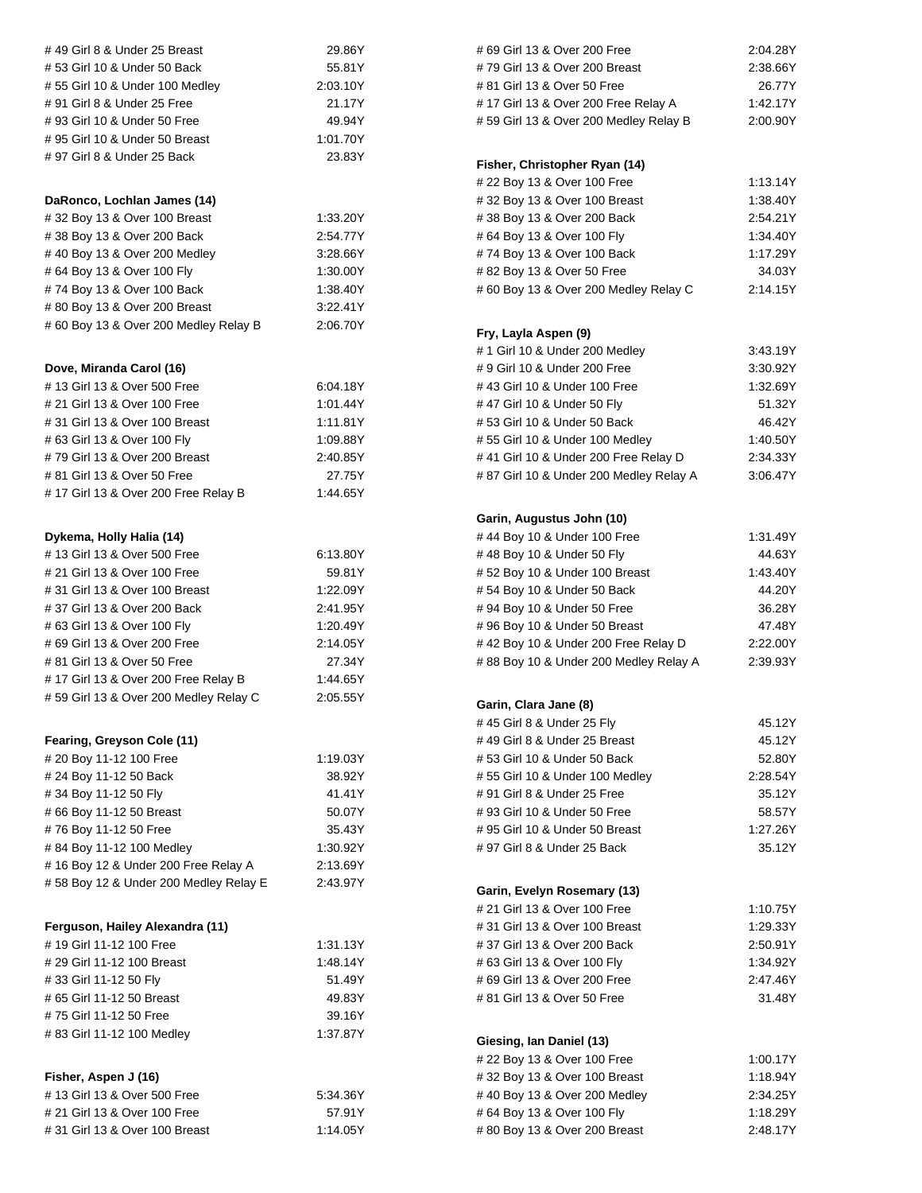| # 49 Girl 8 & Under 25 Breast         | 29.86Y   |
|---------------------------------------|----------|
| #53 Girl 10 & Under 50 Back           | 55.81Y   |
| #55 Girl 10 & Under 100 Medley        | 2:03.10Y |
| # 91 Girl 8 & Under 25 Free           | 21.17Y   |
| # 93 Girl 10 & Under 50 Free          | 49.94Y   |
| #95 Girl 10 & Under 50 Breast         | 1:01.70Y |
| # 97 Girl 8 & Under 25 Back           | 23.83Y   |
|                                       |          |
|                                       |          |
| DaRonco, Lochlan James (14)           |          |
| #32 Boy 13 & Over 100 Breast          | 1:33.20Y |
| # 38 Boy 13 & Over 200 Back           | 2:54.77Y |
| #40 Boy 13 & Over 200 Medley          | 3:28.66Y |
| #64 Boy 13 & Over 100 Fly             | 1:30.00Y |
| #74 Boy 13 & Over 100 Back            | 1:38.40Y |
| #80 Boy 13 & Over 200 Breast          | 3.22.41Y |
| #60 Boy 13 & Over 200 Medley Relay B  | 2:06.70Y |
|                                       |          |
| Dove, Miranda Carol (16)              |          |
| # 13 Girl 13 & Over 500 Free          | 6:04.18Y |
|                                       |          |
| # 21 Girl 13 & Over 100 Free          | 1:01.44Y |
| # 31 Girl 13 & Over 100 Breast        | 1:11.81Y |
| # 63 Girl 13 & Over 100 Fly           | 1:09.88Y |
| # 79 Girl 13 & Over 200 Breast        | 2:40.85Y |
| # 81 Girl 13 & Over 50 Free           | 27.75Y   |
| #17 Girl 13 & Over 200 Free Relay B   | 1:44.65Y |
|                                       |          |
| Dykema, Holly Halia (14)              |          |
| # 13 Girl 13 & Over 500 Free          | 6:13.80Y |
|                                       |          |
| # 21 Girl 13 & Over 100 Free          | 59.81Y   |
| # 31 Girl 13 & Over 100 Breast        | 1:22.09Y |
| # 37 Girl 13 & Over 200 Back          | 2:41.95Y |
| # 63 Girl 13 & Over 100 Fly           | 1:20.49Y |
| # 69 Girl 13 & Over 200 Free          | 2:14.05Y |
| # 81 Girl 13 & Over 50 Free           | 27.34Y   |
| #17 Girl 13 & Over 200 Free Relay B   | 1:44.65Y |
| #59 Girl 13 & Over 200 Medley Relay C | 2:05.55Y |
|                                       |          |
| Fearing, Greyson Cole (11)            |          |
| # 20 Boy 11-12 100 Free               | 1:19.03Y |
| # 24 Boy 11-12 50 Back                | 38.92Y   |
| #34 Boy 11-12 50 Fly                  | 41.41Y   |
| #66 Boy 11-12 50 Breast               | 50.07Y   |
| #76 Boy 11-12 50 Free                 | 35.43Y   |
| #84 Boy 11-12 100 Medley              | 1:30.92Y |
| #16 Boy 12 & Under 200 Free Relay A   | 2:13.69Y |
| #58 Boy 12 & Under 200 Medley Relay E | 2:43.97Y |
|                                       |          |
| Ferguson, Hailey Alexandra (11)       |          |
|                                       |          |
| # 19 Girl 11-12 100 Free              | 1:31.13Y |
| # 29 Girl 11-12 100 Breast            | 1:48.14Y |
| #33 Girl 11-12 50 Fly                 | 51.49Y   |
| #65 Girl 11-12 50 Breast              | 49.83Y   |
| #75 Girl 11-12 50 Free                | 39.16Y   |
| #83 Girl 11-12 100 Medley             | 1:37.87Y |
|                                       |          |
| Fisher, Aspen J (16)                  |          |
| # 13 Girl 13 & Over 500 Free          | 5:34.36Y |
| # 21 Girl 13 & Over 100 Free          | 57.91Y   |
| # 31 Girl 13 & Over 100 Breast        | 1:14.05Y |

| # 69 Girl 13 & Over 200 Free            | 2:04.28Y |
|-----------------------------------------|----------|
| #79 Girl 13 & Over 200 Breast           | 2:38.66Y |
| # 81 Girl 13 & Over 50 Free             | 26.77Y   |
| #17 Girl 13 & Over 200 Free Relay A     | 1:42.17Y |
| #59 Girl 13 & Over 200 Medley Relay B   | 2:00.90Y |
|                                         |          |
|                                         |          |
| Fisher, Christopher Ryan (14)           |          |
| # 22 Boy 13 & Over 100 Free             | 1:13.14Y |
| #32 Boy 13 & Over 100 Breast            | 1:38.40Y |
| #38 Boy 13 & Over 200 Back              | 2:54.21Y |
| # 64 Boy 13 & Over 100 Fly              | 1:34.40Y |
| #74 Boy 13 & Over 100 Back              | 1:17.29Y |
| #82 Boy 13 & Over 50 Free               | 34.03Y   |
| #60 Boy 13 & Over 200 Medley Relay C    | 2:14.15Y |
|                                         |          |
| Fry, Layla Aspen (9)                    |          |
| #1 Girl 10 & Under 200 Medley           | 3:43.19Y |
| # 9 Girl 10 & Under 200 Free            | 3:30.92Y |
| #43 Girl 10 & Under 100 Free            | 1:32.69Y |
| #47 Girl 10 & Under 50 Fly              | 51.32Y   |
| #53 Girl 10 & Under 50 Back             | 46.42Y   |
| #55 Girl 10 & Under 100 Medley          | 1:40.50Y |
|                                         |          |
| # 41 Girl 10 & Under 200 Free Relay D   | 2:34.33Y |
| # 87 Girl 10 & Under 200 Medley Relay A | 3:06.47Y |
|                                         |          |
| Garin, Augustus John (10)               |          |
| #44 Boy 10 & Under 100 Free             | 1:31.49Y |
| #48 Boy 10 & Under 50 Fly               | 44.63Y   |
| #52 Boy 10 & Under 100 Breast           | 1:43.40Y |
| #54 Boy 10 & Under 50 Back              | 44.20Y   |
| # 94 Boy 10 & Under 50 Free             | 36.28Y   |
| #96 Boy 10 & Under 50 Breast            | 47.48Y   |
|                                         |          |
|                                         | 2:22.00Y |
| #42 Boy 10 & Under 200 Free Relay D     | 2:39.93Y |
| #88 Boy 10 & Under 200 Medley Relay A   |          |
|                                         |          |
| Garin, Clara Jane (8)                   |          |
| # 45 Girl 8 & Under 25 Fly              | 45.12Y   |
| #49 Girl 8 & Under 25 Breast            | 45.12Y   |
| #53 Girl 10 & Under 50 Back             | 52.80Y   |
| #55 Girl 10 & Under 100 Medley          | 2:28.54Y |
| #91 Girl 8 & Under 25 Free              | 35.12Y   |
| # 93 Girl 10 & Under 50 Free            | 58.57Y   |
| # 95 Girl 10 & Under 50 Breast          | 1:27.26Y |
| # 97 Girl 8 & Under 25 Back             | 35.12Y   |
|                                         |          |
|                                         |          |
| Garin, Evelyn Rosemary (13)             |          |
| # 21 Girl 13 & Over 100 Free            | 1:10.75Y |
| # 31 Girl 13 & Over 100 Breast          | 1:29.33Y |
| # 37 Girl 13 & Over 200 Back            | 2:50.91Y |
| # 63 Girl 13 & Over 100 Fly             | 1:34.92Y |
| # 69 Girl 13 & Over 200 Free            | 2:47.46Y |
| # 81 Girl 13 & Over 50 Free             | 31.48Y   |
|                                         |          |
| Giesing, Ian Daniel (13)                |          |
| # 22 Boy 13 & Over 100 Free             | 1:00.17Y |
| #32 Boy 13 & Over 100 Breast            | 1:18.94Y |
| # 40 Boy 13 & Over 200 Medley           | 2:34.25Y |
| # 64 Boy 13 & Over 100 Fly              | 1:18.29Y |
| # 80 Boy 13 & Over 200 Breast           | 2:48.17Y |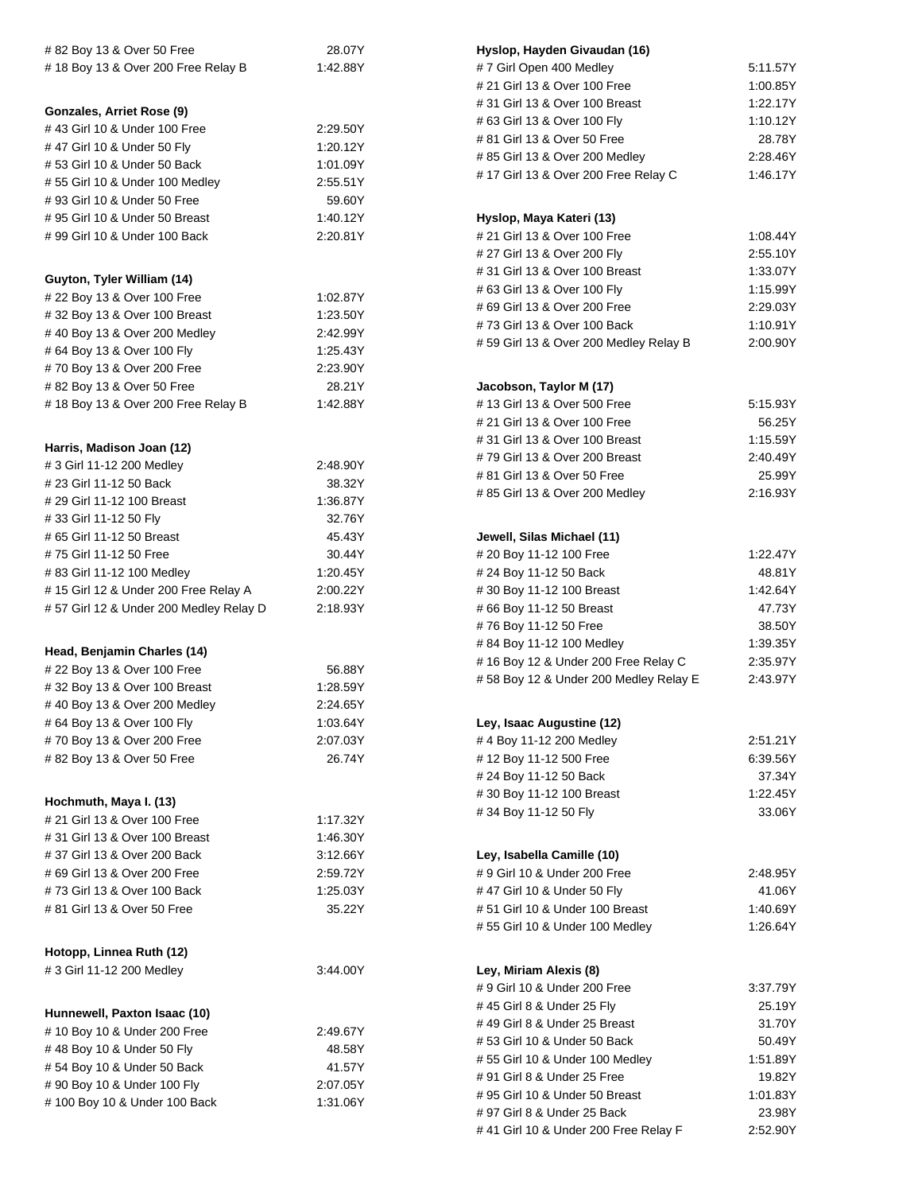| #82 Boy 13 & Over 50 Free              | 28.07Y                                  | Hyslop, Hayden Givaudan (16)          |                    |
|----------------------------------------|-----------------------------------------|---------------------------------------|--------------------|
| #18 Boy 13 & Over 200 Free Relay B     | 1:42.88Y                                | #7 Girl Open 400 Medley               | 5:11.57Y           |
|                                        |                                         | # 21 Girl 13 & Over 100 Free          | 1:00.85Y           |
|                                        |                                         | # 31 Girl 13 & Over 100 Breast        | 1:22.17Y           |
| Gonzales, Arriet Rose (9)              |                                         | # 63 Girl 13 & Over 100 Fly           | 1:10.12Y           |
| #43 Girl 10 & Under 100 Free           | 2:29.50Y                                | # 81 Girl 13 & Over 50 Free           |                    |
| #47 Girl 10 & Under 50 Fly             | 1:20.12Y                                | # 85 Girl 13 & Over 200 Medley        |                    |
| #53 Girl 10 & Under 50 Back            | 1:01.09Y                                | # 17 Girl 13 & Over 200 Free Relay C  |                    |
| #55 Girl 10 & Under 100 Medley         | 2:55.51Y                                |                                       |                    |
| # 93 Girl 10 & Under 50 Free           | 59.60Y                                  |                                       |                    |
| #95 Girl 10 & Under 50 Breast          | 1:40.12Y                                | Hyslop, Maya Kateri (13)              |                    |
| #99 Girl 10 & Under 100 Back           | 2:20.81Y                                | # 21 Girl 13 & Over 100 Free          | 1:08.44Y           |
|                                        |                                         | # 27 Girl 13 & Over 200 Fly           | 2:55.10Y           |
|                                        |                                         | #31 Girl 13 & Over 100 Breast         | 1:33.07Y           |
| Guyton, Tyler William (14)             |                                         | # 63 Girl 13 & Over 100 Fly           | 1:15.99Y           |
| # 22 Boy 13 & Over 100 Free            | 1:02.87Y                                | # 69 Girl 13 & Over 200 Free          | 2:29.03Y           |
| #32 Boy 13 & Over 100 Breast           | 1:23.50Y<br>#73 Girl 13 & Over 100 Back |                                       | 1:10.91Y           |
| #40 Boy 13 & Over 200 Medley           | 2:42.99Y                                | #59 Girl 13 & Over 200 Medley Relay B | 2:00.90Y           |
| # 64 Boy 13 & Over 100 Fly             | 1:25.43Y                                |                                       |                    |
| #70 Boy 13 & Over 200 Free             | 2:23.90Y                                |                                       |                    |
| # 82 Boy 13 & Over 50 Free             | 28.21Y                                  | Jacobson, Taylor M (17)               |                    |
| #18 Boy 13 & Over 200 Free Relay B     | 1:42.88Y                                | # 13 Girl 13 & Over 500 Free          | 5:15.93Y           |
|                                        |                                         | # 21 Girl 13 & Over 100 Free          | 56.25Y             |
| Harris, Madison Joan (12)              |                                         | # 31 Girl 13 & Over 100 Breast        | 1:15.59Y           |
| # 3 Girl 11-12 200 Medley              | 2:48.90Y                                | #79 Girl 13 & Over 200 Breast         | 2:40.49Y           |
| # 23 Girl 11-12 50 Back                | 38.32Y                                  | # 81 Girl 13 & Over 50 Free           | 25.99Y             |
|                                        |                                         | # 85 Girl 13 & Over 200 Medley        | 2:16.93Y           |
| # 29 Girl 11-12 100 Breast             | 1:36.87Y                                |                                       |                    |
| #33 Girl 11-12 50 Fly                  | 32.76Y                                  |                                       |                    |
| # 65 Girl 11-12 50 Breast              | 45.43Y<br>Jewell, Silas Michael (11)    |                                       |                    |
| #75 Girl 11-12 50 Free                 | 30.44Y<br># 20 Boy 11-12 100 Free       |                                       | 1:22.47Y<br>48.81Y |
| # 83 Girl 11-12 100 Medley             | 1:20.45Y                                | # 24 Boy 11-12 50 Back                |                    |
| #15 Girl 12 & Under 200 Free Relay A   | 2:00.22Y                                | #30 Boy 11-12 100 Breast              | 1:42.64Y           |
| #57 Girl 12 & Under 200 Medley Relay D | 2:18.93Y                                | #66 Boy 11-12 50 Breast               | 47.73Y             |
|                                        |                                         | #76 Boy 11-12 50 Free                 | 38.50Y             |
| Head, Benjamin Charles (14)            |                                         | # 84 Boy 11-12 100 Medley             | 1:39.35Y           |
| # 22 Boy 13 & Over 100 Free            | 56.88Y                                  | #16 Boy 12 & Under 200 Free Relay C   | 2:35.97Y           |
| #32 Boy 13 & Over 100 Breast           | 1:28.59Y                                | #58 Boy 12 & Under 200 Medley Relay E | 2:43.97Y           |
| #40 Boy 13 & Over 200 Medley           | 2:24.65Y                                |                                       |                    |
| # 64 Boy 13 & Over 100 Fly             | 1:03.64Y                                | Ley, Isaac Augustine (12)             |                    |
| #70 Boy 13 & Over 200 Free             | 2:07.03Y                                | #4 Boy 11-12 200 Medley               | 2:51.21Y           |
| #82 Boy 13 & Over 50 Free              | 26.74Y                                  | #12 Boy 11-12 500 Free                | 6:39.56Y           |
|                                        |                                         | # 24 Boy 11-12 50 Back                | 37.34Y             |
|                                        |                                         | #30 Boy 11-12 100 Breast              | 1:22.45Y           |
| Hochmuth, Maya I. (13)                 |                                         | #34 Boy 11-12 50 Fly                  | 33.06Y             |
| # 21 Girl 13 & Over 100 Free           | 1:17.32Y                                |                                       |                    |
| # 31 Girl 13 & Over 100 Breast         | 1:46.30Y                                |                                       |                    |
| #37 Girl 13 & Over 200 Back            | 3:12.66Y                                | Ley, Isabella Camille (10)            |                    |
| # 69 Girl 13 & Over 200 Free           | 2:59.72Y                                | # 9 Girl 10 & Under 200 Free          | 2:48.95Y           |
| #73 Girl 13 & Over 100 Back            | 1:25.03Y                                | #47 Girl 10 & Under 50 Fly            | 41.06Y             |
| # 81 Girl 13 & Over 50 Free            | 35.22Y                                  | #51 Girl 10 & Under 100 Breast        | 1:40.69Y           |
|                                        |                                         | #55 Girl 10 & Under 100 Medley        | 1:26.64Y           |
|                                        |                                         |                                       |                    |
| Hotopp, Linnea Ruth (12)               |                                         |                                       |                    |
| # 3 Girl 11-12 200 Medley              | 3:44.00Y                                | Ley, Miriam Alexis (8)                |                    |
|                                        |                                         | # 9 Girl 10 & Under 200 Free          | 3:37.79Y           |
| Hunnewell, Paxton Isaac (10)           |                                         | #45 Girl 8 & Under 25 Fly             | 25.19Y             |
| #10 Boy 10 & Under 200 Free            | 2:49.67Y                                | #49 Girl 8 & Under 25 Breast          | 31.70Y             |
| #48 Boy 10 & Under 50 Fly              | 48.58Y                                  | #53 Girl 10 & Under 50 Back           | 50.49Y             |
| #54 Boy 10 & Under 50 Back             | 41.57Y                                  | #55 Girl 10 & Under 100 Medley        | 1:51.89Y           |
| # 90 Boy 10 & Under 100 Fly            | 2:07.05Y                                | # 91 Girl 8 & Under 25 Free           | 19.82Y             |
| #100 Boy 10 & Under 100 Back           | 1:31.06Y                                | #95 Girl 10 & Under 50 Breast         | 1:01.83Y           |
|                                        |                                         | # 97 Girl 8 & Under 25 Back           | 23.98Y             |
|                                        |                                         | # 41 Girl 10 & Under 200 Free Relay F | 2:52.90Y           |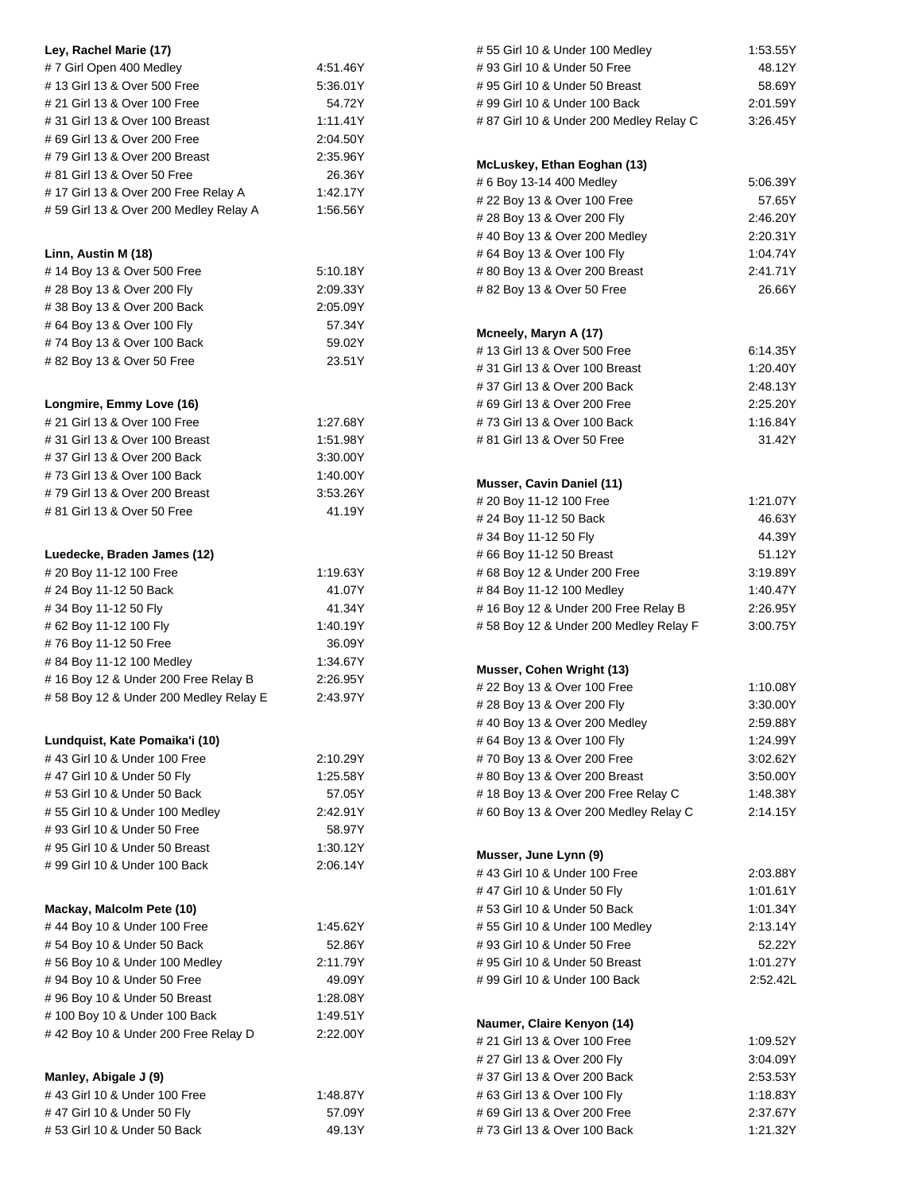| Ley, Rachel Marie (17)                          |          | #55 Girl 10 & Under 100 Medley          | 1:53.55Y |
|-------------------------------------------------|----------|-----------------------------------------|----------|
| #7 Girl Open 400 Medley                         | 4:51.46Y | #93 Girl 10 & Under 50 Free             | 48.12Y   |
| #13 Girl 13 & Over 500 Free<br>5:36.01Y         |          | #95 Girl 10 & Under 50 Breast           | 58.69Y   |
| # 21 Girl 13 & Over 100 Free                    | 54.72Y   | #99 Girl 10 & Under 100 Back            | 2:01.59Y |
| #31 Girl 13 & Over 100 Breast                   | 1:11.41Y | # 87 Girl 10 & Under 200 Medley Relay C | 3:26.45Y |
| #69 Girl 13 & Over 200 Free                     | 2:04.50Y |                                         |          |
| #79 Girl 13 & Over 200 Breast                   | 2:35.96Y |                                         |          |
| # 81 Girl 13 & Over 50 Free<br>26.36Y           |          | McLuskey, Ethan Eoghan (13)             |          |
| #17 Girl 13 & Over 200 Free Relay A<br>1:42.17Y |          | # 6 Boy 13-14 400 Medley                | 5:06.39Y |
| #59 Girl 13 & Over 200 Medley Relay A           | 1:56.56Y | # 22 Boy 13 & Over 100 Free             | 57.65Y   |
|                                                 |          | #28 Boy 13 & Over 200 Fly               | 2:46.20Y |
|                                                 |          | # 40 Boy 13 & Over 200 Medley           | 2:20.31Y |
| Linn, Austin M (18)                             |          | # 64 Boy 13 & Over 100 Fly              | 1:04.74Y |
| #14 Boy 13 & Over 500 Free                      | 5:10.18Y | #80 Boy 13 & Over 200 Breast            | 2:41.71Y |
| # 28 Boy 13 & Over 200 Fly                      | 2:09.33Y | # 82 Boy 13 & Over 50 Free              | 26.66Y   |
| #38 Boy 13 & Over 200 Back                      | 2:05.09Y |                                         |          |
| # 64 Boy 13 & Over 100 Fly                      | 57.34Y   | Mcneely, Maryn A (17)                   |          |
| #74 Boy 13 & Over 100 Back                      | 59.02Y   | # 13 Girl 13 & Over 500 Free            | 6:14.35Y |
| #82 Boy 13 & Over 50 Free                       | 23.51Y   | # 31 Girl 13 & Over 100 Breast          | 1:20.40Y |
|                                                 |          | #37 Girl 13 & Over 200 Back             | 2:48.13Y |
|                                                 |          |                                         | 2:25.20Y |
| Longmire, Emmy Love (16)                        |          | # 69 Girl 13 & Over 200 Free            |          |
| # 21 Girl 13 & Over 100 Free                    | 1:27.68Y | #73 Girl 13 & Over 100 Back             | 1:16.84Y |
| #31 Girl 13 & Over 100 Breast                   | 1:51.98Y | # 81 Girl 13 & Over 50 Free             | 31.42Y   |
| #37 Girl 13 & Over 200 Back                     | 3:30.00Y |                                         |          |
| #73 Girl 13 & Over 100 Back                     | 1:40.00Y | Musser, Cavin Daniel (11)               |          |
| #79 Girl 13 & Over 200 Breast                   | 3:53.26Y | # 20 Boy 11-12 100 Free                 | 1:21.07Y |
| # 81 Girl 13 & Over 50 Free                     | 41.19Y   | # 24 Boy 11-12 50 Back                  | 46.63Y   |
|                                                 |          | #34 Boy 11-12 50 Fly                    | 44.39Y   |
| Luedecke, Braden James (12)                     |          | #66 Boy 11-12 50 Breast                 | 51.12Y   |
| # 20 Boy 11-12 100 Free                         | 1:19.63Y | #68 Boy 12 & Under 200 Free             | 3:19.89Y |
| # 24 Boy 11-12 50 Back                          | 41.07Y   | #84 Boy 11-12 100 Medley                | 1:40.47Y |
| #34 Boy 11-12 50 Fly                            | 41.34Y   | #16 Boy 12 & Under 200 Free Relay B     | 2:26.95Y |
| # 62 Boy 11-12 100 Fly                          | 1:40.19Y | #58 Boy 12 & Under 200 Medley Relay F   | 3:00.75Y |
| #76 Boy 11-12 50 Free                           | 36.09Y   |                                         |          |
| #84 Boy 11-12 100 Medley                        | 1:34.67Y |                                         |          |
| #16 Boy 12 & Under 200 Free Relay B             | 2:26.95Y | Musser, Cohen Wright (13)               |          |
| #58 Boy 12 & Under 200 Medley Relay E           | 2:43.97Y | # 22 Boy 13 & Over 100 Free             | 1:10.08Y |
|                                                 |          | # 28 Boy 13 & Over 200 Fly              | 3:30.00Y |
|                                                 |          | #40 Boy 13 & Over 200 Medley            | 2:59.88Y |
| Lundquist, Kate Pomaika'i (10)                  |          | # 64 Boy 13 & Over 100 Fly              | 1:24.99Y |
| #43 Girl 10 & Under 100 Free                    | 2:10.29Y | #70 Boy 13 & Over 200 Free              | 3:02.62Y |
| #47 Girl 10 & Under 50 Fly                      | 1.25.58Y | #80 Boy 13 & Over 200 Breast            | 3:50.00Y |
| #53 Girl 10 & Under 50 Back                     | 57.05Y   | #18 Boy 13 & Over 200 Free Relay C      | 1:48.38Y |
| #55 Girl 10 & Under 100 Medley                  | 2:42.91Y | # 60 Boy 13 & Over 200 Medley Relay C   | 2:14.15Y |
| # 93 Girl 10 & Under 50 Free                    | 58.97Y   |                                         |          |
| #95 Girl 10 & Under 50 Breast                   | 1:30.12Y |                                         |          |
| # 99 Girl 10 & Under 100 Back                   | 2:06.14Y | Musser, June Lynn (9)                   |          |
|                                                 |          | #43 Girl 10 & Under 100 Free            | 2:03.88Y |
|                                                 |          | #47 Girl 10 & Under 50 Fly              | 1:01.61Y |
| Mackay, Malcolm Pete (10)                       |          | #53 Girl 10 & Under 50 Back             | 1:01.34Y |
| #44 Boy 10 & Under 100 Free                     | 1:45.62Y | #55 Girl 10 & Under 100 Medley          | 2:13.14Y |
| #54 Boy 10 & Under 50 Back                      | 52.86Y   | #93 Girl 10 & Under 50 Free             | 52.22Y   |
| #56 Boy 10 & Under 100 Medley                   | 2:11.79Y | #95 Girl 10 & Under 50 Breast           | 1:01.27Y |
| # 94 Boy 10 & Under 50 Free                     | 49.09Y   | #99 Girl 10 & Under 100 Back            | 2:52.42L |
| #96 Boy 10 & Under 50 Breast                    | 1:28.08Y |                                         |          |
| # 100 Boy 10 & Under 100 Back                   | 1:49.51Y | Naumer, Claire Kenyon (14)              |          |
| #42 Boy 10 & Under 200 Free Relay D             | 2:22.00Y | # 21 Girl 13 & Over 100 Free            | 1:09.52Y |
|                                                 |          |                                         |          |
|                                                 |          | # 27 Girl 13 & Over 200 Fly             | 3:04.09Y |
| Manley, Abigale J (9)                           |          | #37 Girl 13 & Over 200 Back             | 2:53.53Y |
| # 43 Girl 10 & Under 100 Free                   | 1.48.87Y | # 63 Girl 13 & Over 100 Fly             | 1:18.83Y |
| #47 Girl 10 & Under 50 Fly                      | 57.09Y   | #69 Girl 13 & Over 200 Free             | 2:37.67Y |
| #53 Girl 10 & Under 50 Back                     | 49.13Y   | #73 Girl 13 & Over 100 Back             | 1:21.32Y |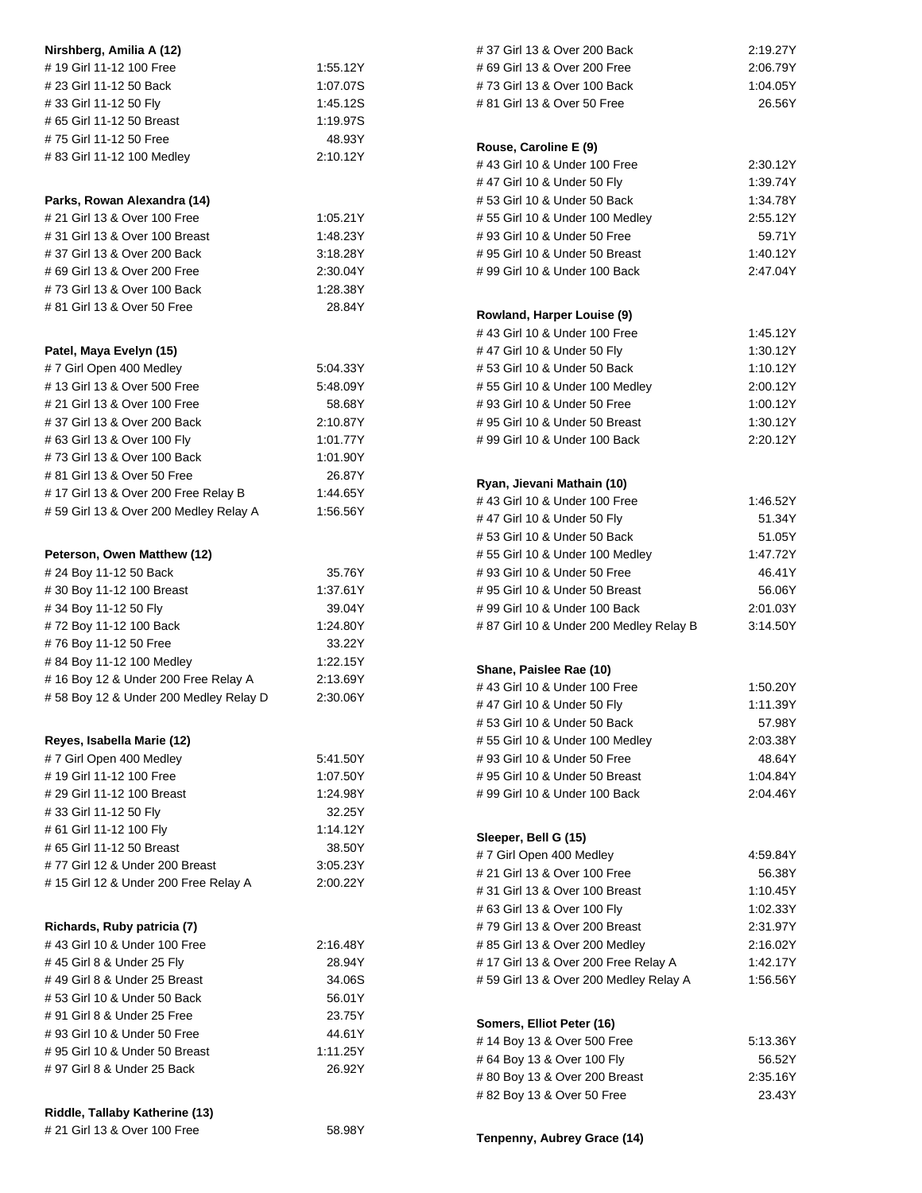| Nirshberg, Amilia A (12)              |                                         | #37 Girl 13 & Over 200 Back                     | 2:19.27Y |
|---------------------------------------|-----------------------------------------|-------------------------------------------------|----------|
| #19 Girl 11-12 100 Free               | 1:55.12Y                                | # 69 Girl 13 & Over 200 Free                    | 2:06.79Y |
| # 23 Girl 11-12 50 Back               | #73 Girl 13 & Over 100 Back<br>1:07.07S |                                                 | 1:04.05Y |
| 1:45.12S<br>#33 Girl 11-12 50 Fly     |                                         | # 81 Girl 13 & Over 50 Free                     | 26.56Y   |
| # 65 Girl 11-12 50 Breast             | 1:19.97S                                |                                                 |          |
| #75 Girl 11-12 50 Free                | 48.93Y                                  |                                                 |          |
| # 83 Girl 11-12 100 Medley            | 2:10.12Y                                | Rouse, Caroline E (9)                           |          |
|                                       |                                         | # 43 Girl 10 & Under 100 Free                   | 2:30.12Y |
|                                       |                                         | #47 Girl 10 & Under 50 Fly                      | 1:39.74Y |
| Parks, Rowan Alexandra (14)           |                                         | #53 Girl 10 & Under 50 Back                     | 1:34.78Y |
| # 21 Girl 13 & Over 100 Free          | 1:05.21Y                                | #55 Girl 10 & Under 100 Medley                  | 2:55.12Y |
| # 31 Girl 13 & Over 100 Breast        | 1:48.23Y                                | #93 Girl 10 & Under 50 Free                     | 59.71Y   |
| #37 Girl 13 & Over 200 Back           | 3:18.28Y                                | #95 Girl 10 & Under 50 Breast                   | 1:40.12Y |
| # 69 Girl 13 & Over 200 Free          | 2:30.04Y                                | #99 Girl 10 & Under 100 Back                    | 2:47.04Y |
| #73 Girl 13 & Over 100 Back           | 1:28.38Y                                |                                                 |          |
| # 81 Girl 13 & Over 50 Free           | 28.84Y                                  | Rowland, Harper Louise (9)                      |          |
|                                       |                                         | #43 Girl 10 & Under 100 Free                    | 1:45.12Y |
| Patel, Maya Evelyn (15)               |                                         | #47 Girl 10 & Under 50 Fly                      | 1:30.12Y |
| #7 Girl Open 400 Medley               | 5:04.33Y                                | #53 Girl 10 & Under 50 Back                     | 1:10.12Y |
| #13 Girl 13 & Over 500 Free           | 5:48.09Y                                | #55 Girl 10 & Under 100 Medley                  | 2:00.12Y |
| # 21 Girl 13 & Over 100 Free          | 58.68Y                                  | #93 Girl 10 & Under 50 Free                     | 1:00.12Y |
| #37 Girl 13 & Over 200 Back           | 2:10.87Y                                | #95 Girl 10 & Under 50 Breast                   | 1:30.12Y |
| # 63 Girl 13 & Over 100 Fly           | 1:01.77Y                                | # 99 Girl 10 & Under 100 Back                   | 2:20.12Y |
| #73 Girl 13 & Over 100 Back           | 1:01.90Y                                |                                                 |          |
| # 81 Girl 13 & Over 50 Free           | 26.87Y                                  |                                                 |          |
| #17 Girl 13 & Over 200 Free Relay B   | 1:44.65Y                                | Ryan, Jievani Mathain (10)                      |          |
| #59 Girl 13 & Over 200 Medley Relay A | 1:56.56Y                                | #43 Girl 10 & Under 100 Free                    | 1:46.52Y |
|                                       |                                         | #47 Girl 10 & Under 50 Fly                      | 51.34Y   |
|                                       |                                         | #53 Girl 10 & Under 50 Back                     | 51.05Y   |
| Peterson, Owen Matthew (12)           |                                         | #55 Girl 10 & Under 100 Medley                  | 1:47.72Y |
| # 24 Boy 11-12 50 Back                | 35.76Y                                  | #93 Girl 10 & Under 50 Free                     | 46.41Y   |
| #30 Boy 11-12 100 Breast              | 1:37.61Y                                | #95 Girl 10 & Under 50 Breast                   | 56.06Y   |
| #34 Boy 11-12 50 Fly                  | 39.04Y                                  | #99 Girl 10 & Under 100 Back                    | 2:01.03Y |
| #72 Boy 11-12 100 Back                | 1:24.80Y                                | #87 Girl 10 & Under 200 Medley Relay B          | 3:14.50Y |
| #76 Boy 11-12 50 Free                 | 33.22Y                                  |                                                 |          |
| #84 Boy 11-12 100 Medley              | 1:22.15Y                                | Shane, Paislee Rae (10)                         |          |
| #16 Boy 12 & Under 200 Free Relay A   | 2:13.69Y                                | # 43 Girl 10 & Under 100 Free                   | 1:50.20Y |
| #58 Boy 12 & Under 200 Medley Relay D | 2:30.06Y                                | #47 Girl 10 & Under 50 Fly                      | 1:11.39Y |
|                                       |                                         | #53 Girl 10 & Under 50 Back                     | 57.98Y   |
| Reyes, Isabella Marie (12)            |                                         | #55 Girl 10 & Under 100 Medley                  | 2:03.38Y |
| #7 Girl Open 400 Medley               | 5:41.50Y                                | #93 Girl 10 & Under 50 Free                     | 48.64Y   |
| #19 Girl 11-12 100 Free               | 1:07.50Y                                | #95 Girl 10 & Under 50 Breast                   | 1:04.84Y |
| # 29 Girl 11-12 100 Breast            | 1:24.98Y                                | #99 Girl 10 & Under 100 Back                    | 2:04.46Y |
| #33 Girl 11-12 50 Fly                 | 32.25Y                                  |                                                 |          |
| # 61 Girl 11-12 100 Fly               | 1:14.12Y                                |                                                 |          |
| #65 Girl 11-12 50 Breast              | 38.50Y                                  | Sleeper, Bell G (15)<br>#7 Girl Open 400 Medley |          |
| #77 Girl 12 & Under 200 Breast        | 3:05.23Y                                |                                                 | 4:59.84Y |
| #15 Girl 12 & Under 200 Free Relay A  | 2:00.22Y                                | # 21 Girl 13 & Over 100 Free                    | 56.38Y   |
|                                       |                                         | # 31 Girl 13 & Over 100 Breast                  | 1:10.45Y |
|                                       |                                         | # 63 Girl 13 & Over 100 Fly                     | 1:02.33Y |
| Richards, Ruby patricia (7)           |                                         | #79 Girl 13 & Over 200 Breast                   | 2:31.97Y |
| #43 Girl 10 & Under 100 Free          | 2:16.48Y                                | #85 Girl 13 & Over 200 Medley                   | 2:16.02Y |
| #45 Girl 8 & Under 25 Fly             | 28.94Y                                  | # 17 Girl 13 & Over 200 Free Relay A            | 1:42.17Y |
| #49 Girl 8 & Under 25 Breast          | 34.06S                                  | #59 Girl 13 & Over 200 Medley Relay A           | 1:56.56Y |
| #53 Girl 10 & Under 50 Back           | 56.01Y                                  |                                                 |          |
| # 91 Girl 8 & Under 25 Free           | 23.75Y                                  | Somers, Elliot Peter (16)                       |          |
| #93 Girl 10 & Under 50 Free           | 44.61Y                                  | #14 Boy 13 & Over 500 Free                      | 5:13.36Y |
| #95 Girl 10 & Under 50 Breast         | 1:11.25Y                                | # 64 Boy 13 & Over 100 Fly                      | 56.52Y   |
| # 97 Girl 8 & Under 25 Back           | 26.92Y                                  | # 80 Boy 13 & Over 200 Breast                   | 2:35.16Y |
|                                       |                                         | #82 Boy 13 & Over 50 Free                       | 23.43Y   |
| Riddle, Tallaby Katherine (13)        |                                         |                                                 |          |
| # 21 Girl 13 & Over 100 Free          | 58.98Y                                  |                                                 |          |
|                                       |                                         | Tenpenny, Aubrey Grace (14)                     |          |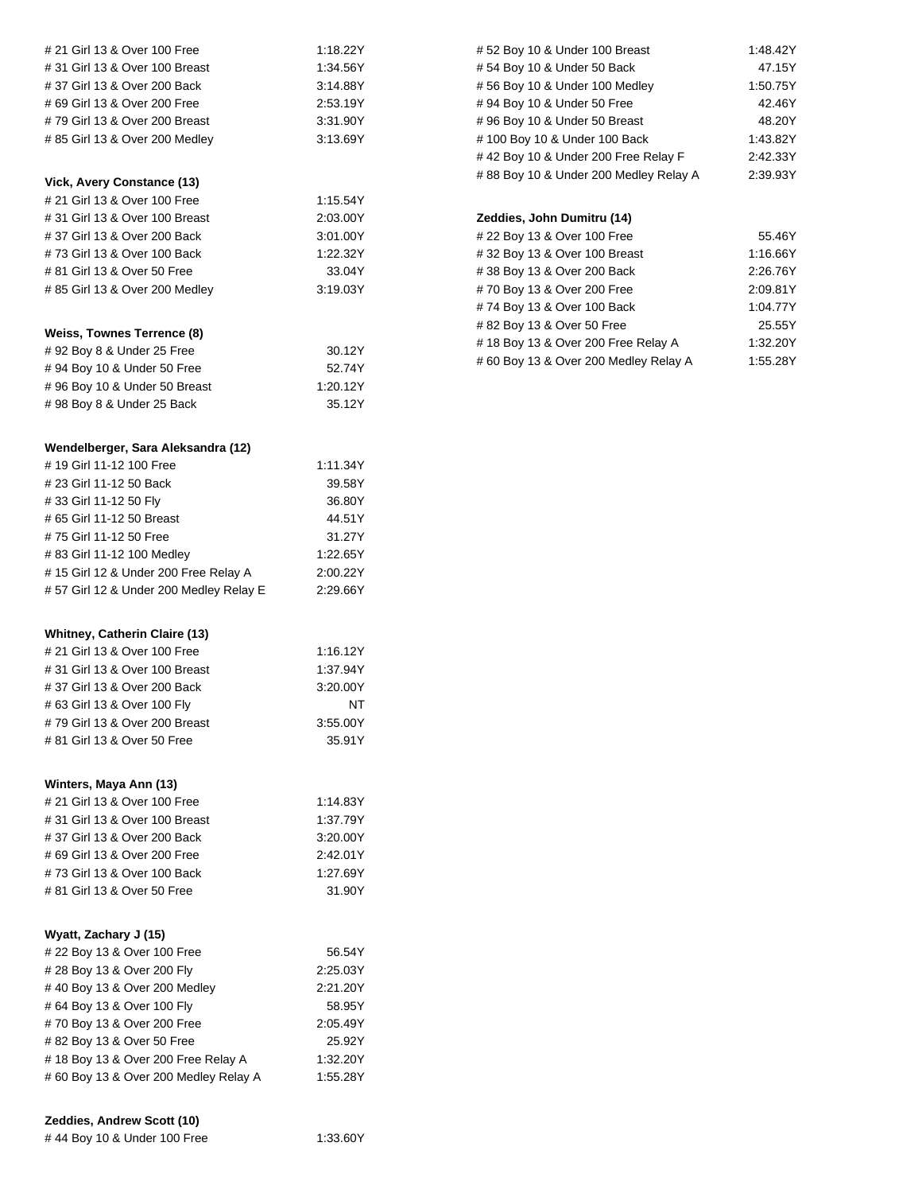| # 21 Girl 13 & Over 100 Free           | 1:18.22Y |
|----------------------------------------|----------|
| # 31 Girl 13 & Over 100 Breast         | 1:34.56Y |
| #37 Girl 13 & Over 200 Back            | 3:14.88Y |
| #69 Girl 13 & Over 200 Free            | 2.53.19Y |
| #79 Girl 13 & Over 200 Breast          | 3:31.90Y |
| # 85 Girl 13 & Over 200 Medley         | 3:13.69Y |
|                                        |          |
| Vick, Avery Constance (13)             |          |
| # 21 Girl 13 & Over 100 Free           | 1:15.54Y |
| # 31 Girl 13 & Over 100 Breast         | 2:03.00Y |
| #37 Girl 13 & Over 200 Back            | 3:01.00Y |
| #73 Girl 13 & Over 100 Back            | 1:22.32Y |
|                                        |          |
| # 81 Girl 13 & Over 50 Free            | 33.04Y   |
| # 85 Girl 13 & Over 200 Medley         | 3:19.03Y |
| Weiss, Townes Terrence (8)             |          |
| #92 Boy 8 & Under 25 Free              | 30.12Y   |
| #94 Boy 10 & Under 50 Free             | 52.74Y   |
| #96 Boy 10 & Under 50 Breast           | 1:20.12Y |
|                                        |          |
| #98 Boy 8 & Under 25 Back              | 35.12Y   |
| Wendelberger, Sara Aleksandra (12)     |          |
| #19 Girl 11-12 100 Free                | 1:11.34Y |
| # 23 Girl 11-12 50 Back                | 39.58Y   |
| #33 Girl 11-12 50 Fly                  | 36.80Y   |
| #65 Girl 11-12 50 Breast               | 44.51Y   |
| #75 Girl 11-12 50 Free                 | 31.27Y   |
|                                        | 1:22.65Y |
| # 83 Girl 11-12 100 Medley             |          |
| #15 Girl 12 & Under 200 Free Relay A   | 2:00.22Y |
| #57 Girl 12 & Under 200 Medley Relay E | 2:29.66Y |
|                                        |          |
|                                        |          |
| Whitney, Catherin Claire (13)          |          |
| # 21 Girl 13 & Over 100 Free           | 1:16.12Y |
| # 31 Girl 13 & Over 100 Breast         | 1:37.94Y |
| #37 Girl 13 & Over 200 Back            | 3:20.00Y |
| # 63 Girl 13 & Over 100 Fly            | NT       |
| #79 Girl 13 & Over 200 Breast          | 3:55.00Y |
| # 81 Girl 13 & Over 50 Free            | 35.91Y   |
|                                        |          |
| Winters, Maya Ann (13)                 |          |
| # 21 Girl 13 & Over 100 Free           | 1:14.83Y |
| # 31 Girl 13 & Over 100 Breast         | 1:37.79Y |
| #37 Girl 13 & Over 200 Back            | 3:20.00Y |
| #69 Girl 13 & Over 200 Free            | 2:42.01Y |
| #73 Girl 13 & Over 100 Back            | 1:27.69Y |
| # 81 Girl 13 & Over 50 Free            | 31.90Y   |
| Wyatt, Zachary J (15)                  |          |
| # 22 Boy 13 & Over 100 Free            | 56.54Y   |
| # 28 Boy 13 & Over 200 Fly             | 2:25.03Y |
| #40 Boy 13 & Over 200 Medley           | 2:21.20Y |
| #64 Boy 13 & Over 100 Fly              | 58.95Y   |
| #70 Boy 13 & Over 200 Free             | 2:05.49Y |
| #82 Boy 13 & Over 50 Free              | 25.92Y   |
| #18 Boy 13 & Over 200 Free Relay A     | 1:32.20Y |
| #60 Boy 13 & Over 200 Medley Relay A   | 1:55.28Y |

| 1:48.42Y |
|----------|
| 47.15Y   |
| 1:50.75Y |
| 42.46Y   |
| 48.20Y   |
| 1:43.82Y |
| 2:42.33Y |
| 2:39.93Y |
|          |

## **Zeddies, John Dumitru (14)**

| # 22 Boy 13 & Over 100 Free           | 55.46Y   |
|---------------------------------------|----------|
| #32 Boy 13 & Over 100 Breast          | 1:16.66Y |
| #38 Boy 13 & Over 200 Back            | 2:26.76Y |
| #70 Boy 13 & Over 200 Free            | 2:09.81Y |
| #74 Boy 13 & Over 100 Back            | 1:04.77Y |
| #82 Boy 13 & Over 50 Free             | 25.55Y   |
| #18 Boy 13 & Over 200 Free Relay A    | 1:32.20Y |
| # 60 Boy 13 & Over 200 Medley Relay A | 1:55.28Y |

**Zeddies, Andrew Scott (10)**

# 44 Boy 10 & Under 100 Free 1:33.60Y